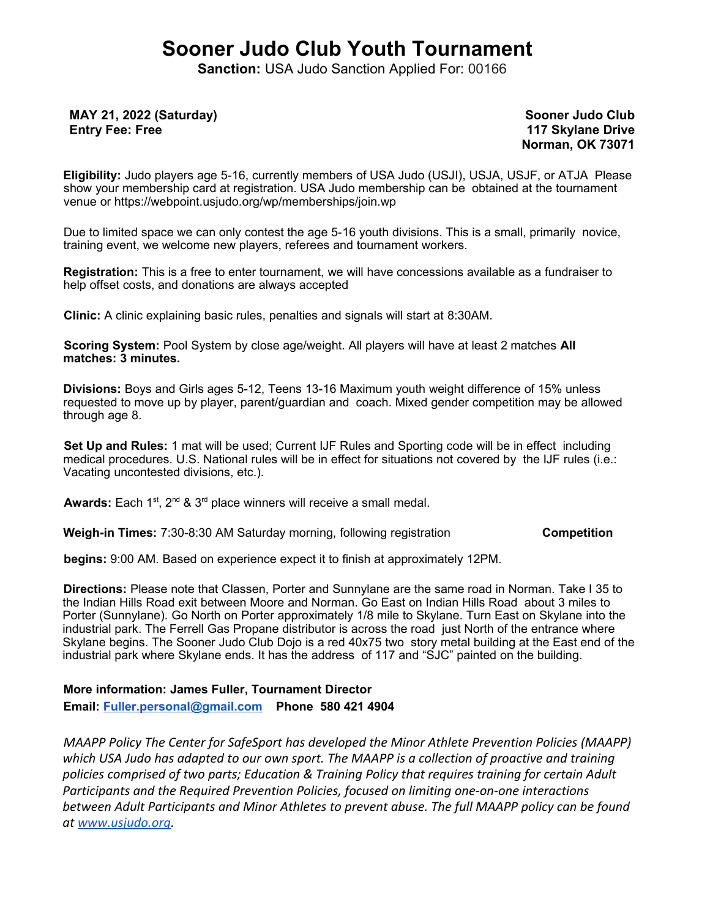# **Sooner Judo Club Youth Tournament**

**Sanction:** USA Judo Sanction Applied For: 00166

**MAY 21, 2022 (Saturday) Entry Fee: Free** 

**Sooner Judo Club 117 Skylane Drive Norman, OK 73071**

**Eligibility:** Judo players age 5-16, currently members of USA Judo (USJI), USJA, USJF, or ATJA Please show your membership card at registration. USA Judo membership can be obtained at the tournament venue or https://webpoint.usjudo.org/wp/memberships/join.wp

Due to limited space we can only contest the age 5-16 youth divisions. This is a small, primarily novice, training event, we welcome new players, referees and tournament workers.

**Registration:** This is a free to enter tournament, we will have concessions available as a fundraiser to help offset costs, and donations are always accepted

**Clinic:** A clinic explaining basic rules, penalties and signals will start at 8:30AM.

**Scoring System:** Pool System by close age/weight. All players will have at least 2 matches **All matches: 3 minutes.** 

**Divisions:** Boys and Girls ages 5-12, Teens 13-16 Maximum youth weight difference of 15% unless requested to move up by player, parent/guardian and coach. Mixed gender competition may be allowed through age 8.

**Set Up and Rules:** 1 mat will be used; Current IJF Rules and Sporting code will be in effect including medical procedures. U.S. National rules will be in effect for situations not covered by the IJF rules (i.e.: Vacating uncontested divisions, etc.).

Awards: Each 1<sup>st</sup>, 2<sup>nd</sup> & 3<sup>rd</sup> place winners will receive a small medal.

**Weigh-in Times:** 7:30-8:30 AM Saturday morning, following registration **Competition** 

**begins:** 9:00 AM. Based on experience expect it to finish at approximately 12PM.

**Directions:** Please note that Classen, Porter and Sunnylane are the same road in Norman. Take I 35 to the Indian Hills Road exit between Moore and Norman. Go East on Indian Hills Road about 3 miles to Porter (Sunnylane). Go North on Porter approximately 1/8 mile to Skylane. Turn East on Skylane into the industrial park. The Ferrell Gas Propane distributor is across the road just North of the entrance where Skylane begins. The Sooner Judo Club Dojo is a red 40x75 two story metal building at the East end of the industrial park where Skylane ends. It has the address of 117 and "SJC" painted on the building.

### **More information: James Fuller, Tournament Director**

**Email: [Fuller.personal@gmail.com](mailto:Fuller.personal@gmail.com) Phone 580 421 4904**

*MAAPP Policy The Center for SafeSport has developed the Minor Athlete Prevention Policies (MAAPP) which USA Judo has adapted to our own sport. The MAAPP is a collection of proactive and training policies comprised of two parts; Education & Training Policy that requires training for certain Adult Participants and the Required Prevention Policies, focused on limiting one-on-one interactions between Adult Participants and Minor Athletes to prevent abuse. The full MAAPP policy can be found at [www.usjudo.org.](http://www.usjudo.org/)*